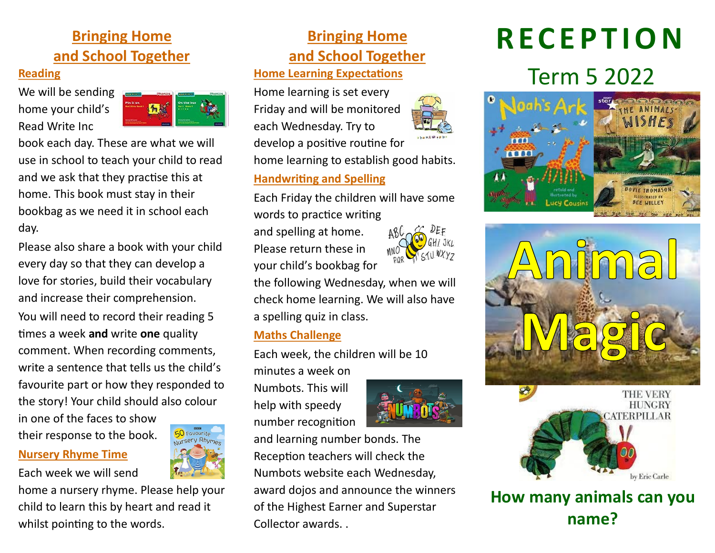# **Bringing Home and School Together**

#### **Reading**

We will be sending home your child's Read Write Inc



book each day. These are what we will use in school to teach your child to read and we ask that they practise this at home. This book must stay in their bookbag as we need it in school each day.

Please also share a book with your child every day so that they can develop a love for stories, build their vocabulary and increase their comprehension.

You will need to record their reading 5 times a week **and** write **one** quality comment. When recording comments, write a sentence that tells us the child's favourite part or how they responded to the story! Your child should also colour

in one of the faces to show their response to the book.

#### **Nursery Rhyme Time**

Each week we will send

home a nursery rhyme. Please help your child to learn this by heart and read it whilst pointing to the words.

# **Bringing Home and School Together**

#### **Home Learning Expectations**

Home learning is set every Friday and will be monitored each Wednesday. Try to develop a positive routine for

home learning to establish good habits.

#### **Handwriting and Spelling**

Each Friday the children will have some words to practice writing

and spelling at home. Please return these in your child's bookbag for



the following Wednesday, when we will check home learning. We will also have a spelling quiz in class.

#### **Maths Challenge**

Each week, the children will be 10

minutes a week on Numbots. This will help with speedy number recognition



and learning number bonds. The Reception teachers will check the Numbots website each Wednesday, award dojos and announce the winners of the Highest Earner and Superstar Collector awards. .

# **R E C E P T I O N**

# Term 5 2022







**How many animals can you name?**